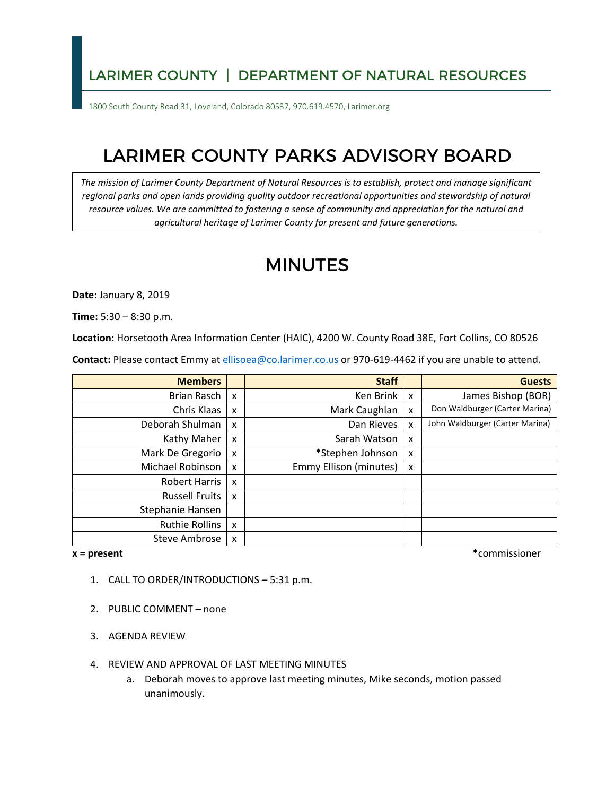### LARIMER COUNTY | DEPARTMENT OF NATURAL RESOURCES

1800 South County Road 31, Loveland, Colorado 80537, 970.619.4570, Larimer.org

# LARIMER COUNTY PARKS ADVISORY BOARD

 *The mission of Larimer County Department of Natural Resources is to establish, protect and manage significant*  regional parks and open lands providing quality outdoor recreational opportunities and stewardship of natural  *resource values. We are committed to fostering a sense of community and appreciation for the natural and agricultural heritage of Larimer County for present and future generations.* 

# MINUTES

**Date:** January 8, 2019

**Time:** 5:30 – 8:30 p.m.

**Location:** Horsetooth Area Information Center (HAIC), 4200 W. County Road 38E, Fort Collins, CO 80526

**Contact:** Please contact Emmy at [ellisoea@co.larimer.co.us](mailto:ellisoea@co.larimer.co.us) or 970-619-4462 if you are unable to attend.

| <b>Members</b>        |                           | <b>Staff</b>           |   | <b>Guests</b>                   |
|-----------------------|---------------------------|------------------------|---|---------------------------------|
| Brian Rasch           | $\boldsymbol{\mathsf{x}}$ | Ken Brink              | X | James Bishop (BOR)              |
| Chris Klaas           | X                         | Mark Caughlan          | X | Don Waldburger (Carter Marina)  |
| Deborah Shulman       | X                         | Dan Rieves             | x | John Waldburger (Carter Marina) |
| Kathy Maher           | X                         | Sarah Watson           | X |                                 |
| Mark De Gregorio      | X                         | *Stephen Johnson       | x |                                 |
| Michael Robinson      | X                         | Emmy Ellison (minutes) | X |                                 |
| <b>Robert Harris</b>  | X                         |                        |   |                                 |
| <b>Russell Fruits</b> | X                         |                        |   |                                 |
| Stephanie Hansen      |                           |                        |   |                                 |
| <b>Ruthie Rollins</b> | X                         |                        |   |                                 |
| Steve Ambrose         | X                         |                        |   |                                 |

#### $x = present$

**x = present** \*commissioner

- 1. CALL TO ORDER/INTRODUCTIONS 5:31 p.m.
- 2. PUBLIC COMMENT none
- 3. AGENDA REVIEW
- 4. REVIEW AND APPROVAL OF LAST MEETING MINUTES
	- a. Deborah moves to approve last meeting minutes, Mike seconds, motion passed unanimously.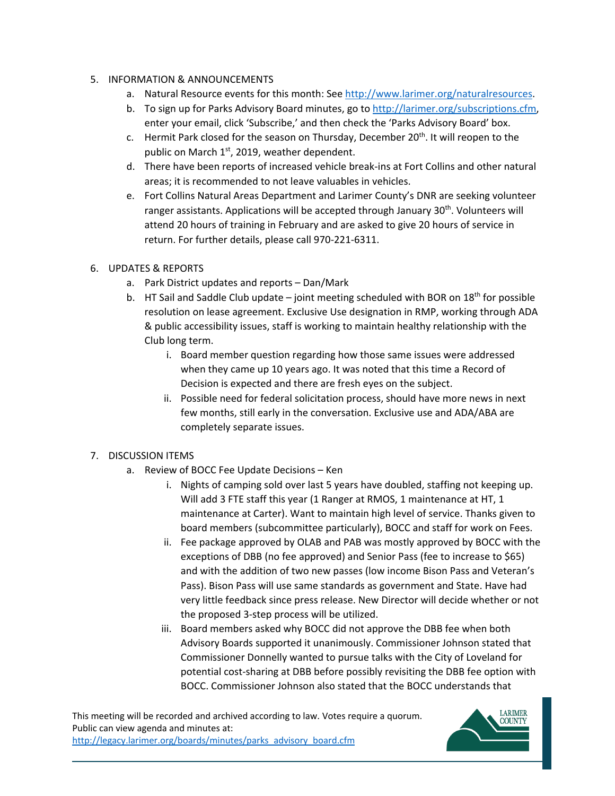#### 5. INFORMATION & ANNOUNCEMENTS

- a. Natural Resource events for this month: See [http://www.larimer.org/naturalresources.](http://www.larimer.org/naturalresources)
- b. To sign up for Parks Advisory Board minutes, go to http://larimer.org/subscriptions.cfm, enter your email, click 'Subscribe,' and then check the 'Parks Advisory Board' box.
- c. Hermit Park closed for the season on Thursday, December 20th. It will reopen to the public on March  $1<sup>st</sup>$ , 2019, weather dependent.
- areas; it is recommended to not leave valuables in vehicles. d. There have been reports of increased vehicle break-ins at Fort Collins and other natural
- e. Fort Collins Natural Areas Department and Larimer County's DNR are seeking volunteer ranger assistants. Applications will be accepted through January 30<sup>th</sup>. Volunteers will attend 20 hours of training in February and are asked to give 20 hours of service in return. For further details, please call 970-221-6311.

#### 6. UPDATES & REPORTS

- a. Park District updates and reports Dan/Mark
- b. HT Sail and Saddle Club update joint meeting scheduled with BOR on  $18<sup>th</sup>$  for possible resolution on lease agreement. Exclusive Use designation in RMP, working through ADA & public accessibility issues, staff is working to maintain healthy relationship with the Club long term.
	- when they came up 10 years ago. It was noted that this time a Record of Decision is expected and there are fresh eyes on the subject. i. Board member question regarding how those same issues were addressed
	- ii. Possible need for federal solicitation process, should have more news in next few months, still early in the conversation. Exclusive use and ADA/ABA are completely separate issues.

#### 7. DISCUSSION ITEMS

- a. Review of BOCC Fee Update Decisions Ken
	- i. Nights of camping sold over last 5 years have doubled, staffing not keeping up. Will add 3 FTE staff this year (1 Ranger at RMOS, 1 maintenance at HT, 1 board members (subcommittee particularly), BOCC and staff for work on Fees. maintenance at Carter). Want to maintain high level of service. Thanks given to
	- ii. Fee package approved by OLAB and PAB was mostly approved by BOCC with the and with the addition of two new passes (low income Bison Pass and Veteran's Pass). Bison Pass will use same standards as government and State. Have had exceptions of DBB (no fee approved) and Senior Pass (fee to increase to \$65) very little feedback since press release. New Director will decide whether or not the proposed 3-step process will be utilized.
	- iii. Board members asked why BOCC did not approve the DBB fee when both Advisory Boards supported it unanimously. Commissioner Johnson stated that Commissioner Donnelly wanted to pursue talks with the City of Loveland for potential cost-sharing at DBB before possibly revisiting the DBB fee option with BOCC. Commissioner Johnson also stated that the BOCC understands that

 Public can view agenda and minutes at: This meeting will be recorded and archived according to law. Votes require a quorum. [http://legacy.larimer.org/boards/minutes/parks\\_advisory\\_board.cfm](http://legacy.larimer.org/boards/minutes/parks_advisory_board.cfm) 

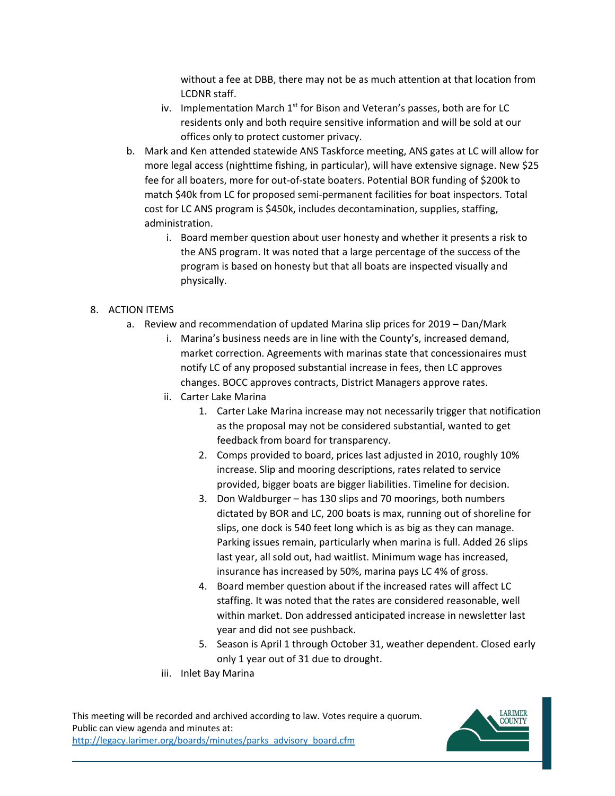without a fee at DBB, there may not be as much attention at that location from LCDNR staff.

- iv. Implementation March  $1<sup>st</sup>$  for Bison and Veteran's passes, both are for LC residents only and both require sensitive information and will be sold at our offices only to protect customer privacy.
- b. Mark and Ken attended statewide ANS Taskforce meeting, ANS gates at LC will allow for more legal access (nighttime fishing, in particular), will have extensive signage. New \$25 fee for all boaters, more for out-of-state boaters. Potential BOR funding of \$200k to match \$40k from LC for proposed semi-permanent facilities for boat inspectors. Total cost for LC ANS program is \$450k, includes decontamination, supplies, staffing, administration.
	- i. Board member question about user honesty and whether it presents a risk to physically. the ANS program. It was noted that a large percentage of the success of the program is based on honesty but that all boats are inspected visually and

### 8. ACTION ITEMS

- a. Review and recommendation of updated Marina slip prices for 2019 Dan/Mark
	- i. Marina's business needs are in line with the County's, increased demand, market correction. Agreements with marinas state that concessionaires must notify LC of any proposed substantial increase in fees, then LC approves changes. BOCC approves contracts, District Managers approve rates.
	- ii. Carter Lake Marina
		- 1. Carter Lake Marina increase may not necessarily trigger that notification as the proposal may not be considered substantial, wanted to get feedback from board for transparency.
		- 2. Comps provided to board, prices last adjusted in 2010, roughly 10% increase. Slip and mooring descriptions, rates related to service provided, bigger boats are bigger liabilities. Timeline for decision.
		- 3. Don Waldburger has 130 slips and 70 moorings, both numbers slips, one dock is 540 feet long which is as big as they can manage. dictated by BOR and LC, 200 boats is max, running out of shoreline for Parking issues remain, particularly when marina is full. Added 26 slips last year, all sold out, had waitlist. Minimum wage has increased, insurance has increased by 50%, marina pays LC 4% of gross.
		- 4. Board member question about if the increased rates will affect LC year and did not see pushback. staffing. It was noted that the rates are considered reasonable, well within market. Don addressed anticipated increase in newsletter last
		- 5. Season is April 1 through October 31, weather dependent. Closed early only 1 year out of 31 due to drought.
	- iii. Inlet Bay Marina

 Public can view agenda and minutes at: This meeting will be recorded and archived according to law. Votes require a quorum. [http://legacy.larimer.org/boards/minutes/parks\\_advisory\\_board.cfm](http://legacy.larimer.org/boards/minutes/parks_advisory_board.cfm)